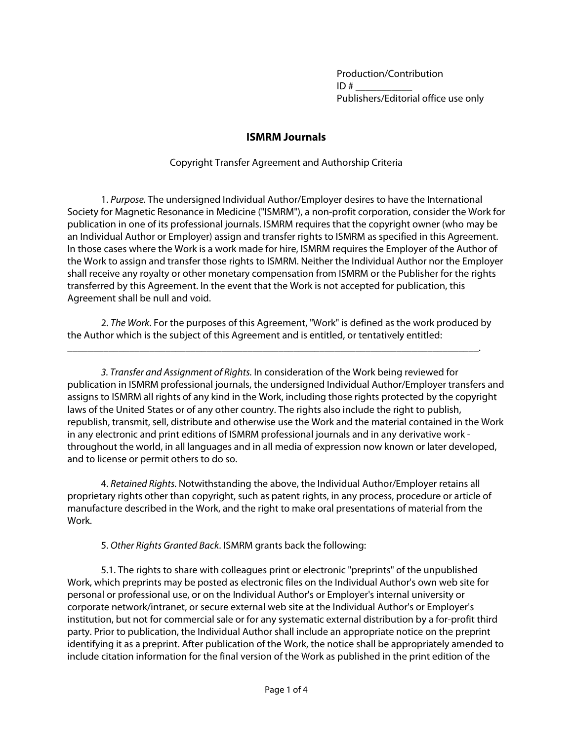Production/Contribution  $ID#$ Publishers/Editorial office use only

## **ISMRM Journals**

## Copyright Transfer Agreement and Authorship Criteria

1. Purpose. The undersigned Individual Author/Employer desires to have the International Society for Magnetic Resonance in Medicine ("ISMRM"), a non-profit corporation, consider the Work for publication in one of its professional journals. ISMRM requires that the copyright owner (who may be an Individual Author or Employer) assign and transfer rights to ISMRM as specified in this Agreement. In those cases where the Work is a work made for hire, ISMRM requires the Employer of the Author of the Work to assign and transfer those rights to ISMRM. Neither the Individual Author nor the Employer shall receive any royalty or other monetary compensation from ISMRM or the Publisher for the rights transferred by this Agreement. In the event that the Work is not accepted for publication, this Agreement shall be null and void.

2. The Work. For the purposes of this Agreement, "Work" is defined as the work produced by the Author which is the subject of this Agreement and is entitled, or tentatively entitled:

\_\_\_\_\_\_\_\_\_\_\_\_\_\_\_\_\_\_\_\_\_\_\_\_\_\_\_\_\_\_\_\_\_\_\_\_\_\_\_\_\_\_\_\_\_\_\_\_\_\_\_\_\_\_\_\_\_\_\_\_\_\_\_\_\_\_\_\_\_\_\_\_\_\_\_\_\_\_\_\_.

3. Transfer and Assignment of Rights. In consideration of the Work being reviewed for publication in ISMRM professional journals, the undersigned Individual Author/Employer transfers and assigns to ISMRM all rights of any kind in the Work, including those rights protected by the copyright laws of the United States or of any other country. The rights also include the right to publish, republish, transmit, sell, distribute and otherwise use the Work and the material contained in the Work in any electronic and print editions of ISMRM professional journals and in any derivative work throughout the world, in all languages and in all media of expression now known or later developed, and to license or permit others to do so.

4. Retained Rights. Notwithstanding the above, the Individual Author/Employer retains all proprietary rights other than copyright, such as patent rights, in any process, procedure or article of manufacture described in the Work, and the right to make oral presentations of material from the Work.

5. Other Rights Granted Back. ISMRM grants back the following:

5.1. The rights to share with colleagues print or electronic "preprints" of the unpublished Work, which preprints may be posted as electronic files on the Individual Author's own web site for personal or professional use, or on the Individual Author's or Employer's internal university or corporate network/intranet, or secure external web site at the Individual Author's or Employer's institution, but not for commercial sale or for any systematic external distribution by a for-profit third party. Prior to publication, the Individual Author shall include an appropriate notice on the preprint identifying it as a preprint. After publication of the Work, the notice shall be appropriately amended to include citation information for the final version of the Work as published in the print edition of the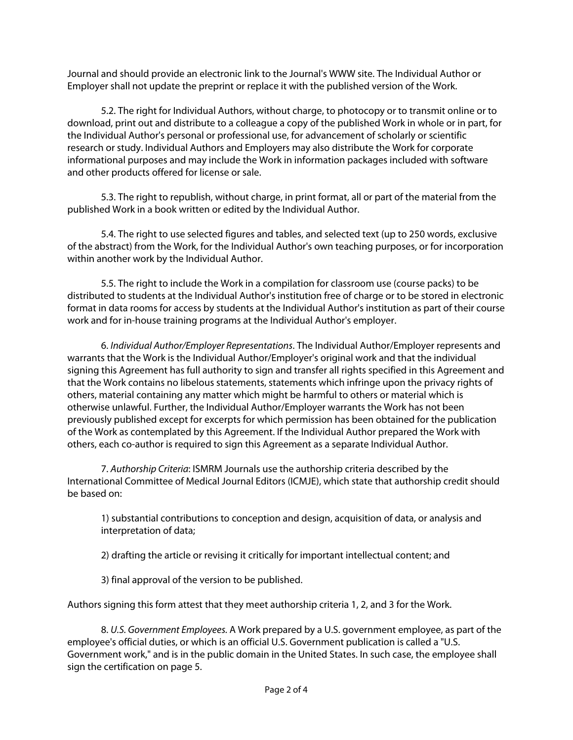Journal and should provide an electronic link to the Journal's WWW site. The Individual Author or Employer shall not update the preprint or replace it with the published version of the Work.

5.2. The right for Individual Authors, without charge, to photocopy or to transmit online or to download, print out and distribute to a colleague a copy of the published Work in whole or in part, for the Individual Author's personal or professional use, for advancement of scholarly or scientific research or study. Individual Authors and Employers may also distribute the Work for corporate informational purposes and may include the Work in information packages included with software and other products offered for license or sale.

5.3. The right to republish, without charge, in print format, all or part of the material from the published Work in a book written or edited by the Individual Author.

5.4. The right to use selected figures and tables, and selected text (up to 250 words, exclusive of the abstract) from the Work, for the Individual Author's own teaching purposes, or for incorporation within another work by the Individual Author.

5.5. The right to include the Work in a compilation for classroom use (course packs) to be distributed to students at the Individual Author's institution free of charge or to be stored in electronic format in data rooms for access by students at the Individual Author's institution as part of their course work and for in-house training programs at the Individual Author's employer.

6. Individual Author/Employer Representations. The Individual Author/Employer represents and warrants that the Work is the Individual Author/Employer's original work and that the individual signing this Agreement has full authority to sign and transfer all rights specified in this Agreement and that the Work contains no libelous statements, statements which infringe upon the privacy rights of others, material containing any matter which might be harmful to others or material which is otherwise unlawful. Further, the Individual Author/Employer warrants the Work has not been previously published except for excerpts for which permission has been obtained for the publication of the Work as contemplated by this Agreement. If the Individual Author prepared the Work with others, each co-author is required to sign this Agreement as a separate Individual Author.

7. Authorship Criteria: ISMRM Journals use the authorship criteria described by the International Committee of Medical Journal Editors (ICMJE), which state that authorship credit should be based on:

1) substantial contributions to conception and design, acquisition of data, or analysis and interpretation of data;

2) drafting the article or revising it critically for important intellectual content; and

3) final approval of the version to be published.

Authors signing this form attest that they meet authorship criteria 1, 2, and 3 for the Work.

8. U.S. Government Employees. A Work prepared by a U.S. government employee, as part of the employee's official duties, or which is an official U.S. Government publication is called a "U.S. Government work," and is in the public domain in the United States. In such case, the employee shall sign the certification on page 5.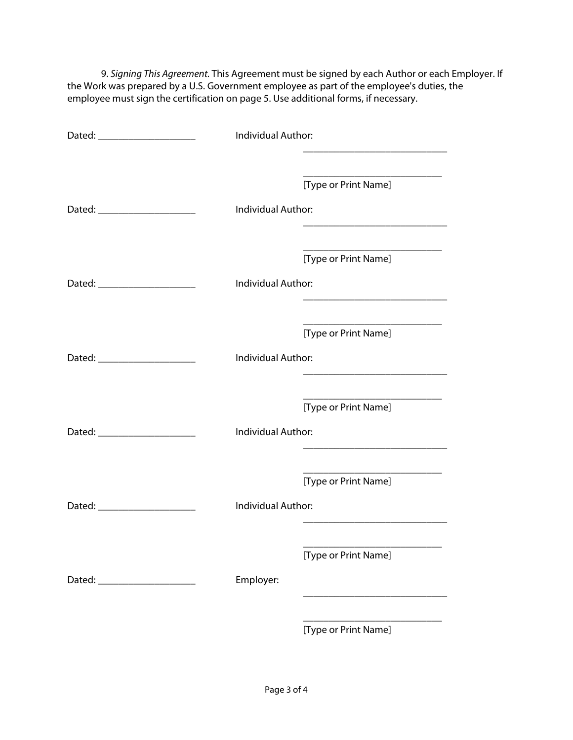9. Signing This Agreement. This Agreement must be signed by each Author or each Employer. If the Work was prepared by a U.S. Government employee as part of the employee's duties, the employee must sign the certification on page 5. Use additional forms, if necessary.

| Dated: ________________________ | Individual Author:<br><u> 1989 - Johann Barbara, martin da kasas a</u>                      |
|---------------------------------|---------------------------------------------------------------------------------------------|
|                                 | [Type or Print Name]                                                                        |
|                                 | Individual Author:<br><u> 1980 - Johann John Stone, mars eta biztanleria (</u>              |
|                                 | [Type or Print Name]                                                                        |
|                                 | <b>Individual Author:</b><br><u> 1989 - Johann Barbara, margaret eta idazlea (h. 1989).</u> |
|                                 | [Type or Print Name]                                                                        |
| Dated: _______________________  | Individual Author:                                                                          |
|                                 | [Type or Print Name]                                                                        |
|                                 | Individual Author:                                                                          |
|                                 | [Type or Print Name]                                                                        |
|                                 | Individual Author:                                                                          |
|                                 | [Type or Print Name]                                                                        |
| Dated: _______________________  | Employer:                                                                                   |
|                                 | [Type or Print Name]                                                                        |